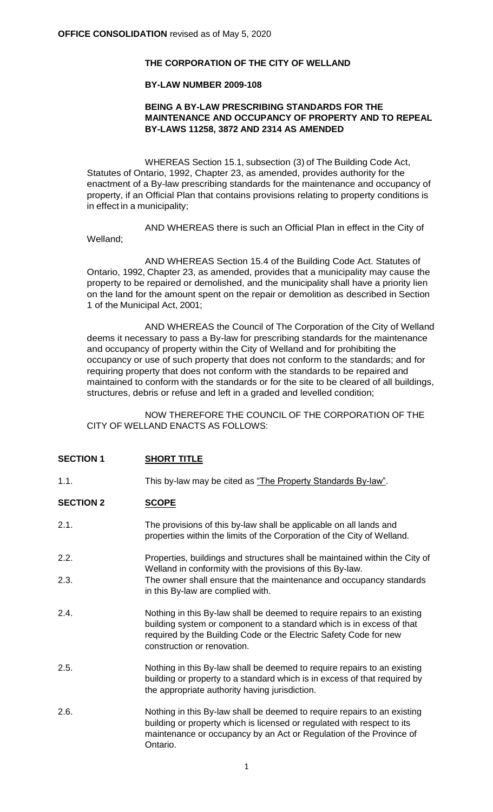#### **THE CORPORATION OF THE CITY OF WELLAND**

#### **BY-LAW NUMBER 2009-108**

#### **BEING A BY-LAW PRESCRIBING STANDARDS FOR THE MAINTENANCE AND OCCUPANCY OF PROPERTY AND TO REPEAL BY-LAWS 11258, 3872 AND 2314 AS AMENDED**

WHEREAS Section 15.1, subsection (3) of The Building Code Act, Statutes of Ontario, 1992, Chapter 23, as amended, provides authority for the enactment of a By-law prescribing standards for the maintenance and occupancy of property, if an Official Plan that contains provisions relating to property conditions is in effect in a municipality;

AND WHEREAS there is such an Official Plan in effect in the City of Welland;

AND WHEREAS Section 15.4 of the Building Code Act. Statutes of Ontario, 1992, Chapter 23, as amended, provides that a municipality may cause the property to be repaired or demolished, and the municipality shall have a priority lien on the land for the amount spent on the repair or demolition as described in Section 1 of the Municipal Act, 2001;

AND WHEREAS the Council of The Corporation of the City of Welland deems it necessary to pass a By-law for prescribing standards for the maintenance and occupancy of property within the City of Welland and for prohibiting the occupancy or use of such property that does not conform to the standards; and for requiring property that does not conform with the standards to be repaired and maintained to conform with the standards or for the site to be cleared of all buildings, structures, debris or refuse and left in a graded and levelled condition;

NOW THEREFORE THE COUNCIL OF THE CORPORATION OF THE CITY OF WELLAND ENACTS AS FOLLOWS:

#### **SECTION 1 SHORT TITLE**

1.1. This by-law may be cited as "The Property Standards By-law".

## SECTION 2 **SCOPE**

- 2.1. The provisions of this by-law shall be applicable on all lands and properties within the limits of the Corporation of the City of Welland.
- 2.2. Properties, buildings and structures shall be maintained within the City of Welland in conformity with the provisions of this By-law. 2.3. The owner shall ensure that the maintenance and occupancy standards
- in this By-law are complied with.
- 2.4. Nothing in this By-law shall be deemed to require repairs to an existing building system or component to a standard which is in excess of that required by the Building Code or the Electric Safety Code for new construction or renovation.
- 2.5. Nothing in this By-law shall be deemed to require repairs to an existing building or property to a standard which is in excess of that required by the appropriate authority having jurisdiction.
- 2.6. Nothing in this By-law shall be deemed to require repairs to an existing building or property which is licensed or regulated with respect to its maintenance or occupancy by an Act or Regulation of the Province of Ontario.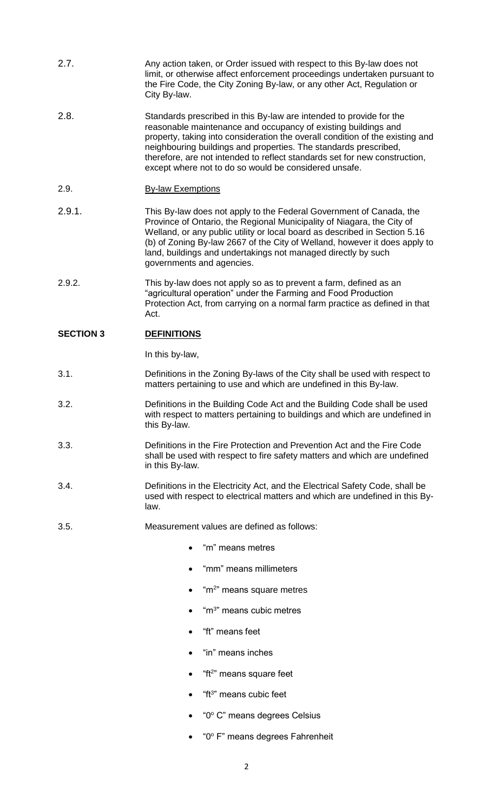- 2.7. Any action taken, or Order issued with respect to this By-law does not limit, or otherwise affect enforcement proceedings undertaken pursuant to the Fire Code, the City Zoning By-law, or any other Act, Regulation or City By-law.
- 2.8. Standards prescribed in this By-law are intended to provide for the reasonable maintenance and occupancy of existing buildings and property, taking into consideration the overall condition of the existing and neighbouring buildings and properties. The standards prescribed, therefore, are not intended to reflect standards set for new construction, except where not to do so would be considered unsafe.
- 2.9. By-law Exemptions
- 2.9.1. This By-law does not apply to the Federal Government of Canada, the Province of Ontario, the Regional Municipality of Niagara, the City of Welland, or any public utility or local board as described in Section 5.16 (b) of Zoning By-law 2667 of the City of Welland, however it does apply to land, buildings and undertakings not managed directly by such governments and agencies.
- 2.9.2. This by-law does not apply so as to prevent a farm, defined as an "agricultural operation" under the Farming and Food Production Protection Act, from carrying on a normal farm practice as defined in that Act.

## **SECTION 3 DEFINITIONS**

In this by-law,

- 3.1. Definitions in the Zoning By-laws of the City shall be used with respect to matters pertaining to use and which are undefined in this By-law.
- 3.2. Definitions in the Building Code Act and the Building Code shall be used with respect to matters pertaining to buildings and which are undefined in this By-law.
- 3.3. Definitions in the Fire Protection and Prevention Act and the Fire Code shall be used with respect to fire safety matters and which are undefined in this By-law.
- 3.4. Definitions in the Electricity Act, and the Electrical Safety Code, shall be used with respect to electrical matters and which are undefined in this Bylaw.
- 3.5. Measurement values are defined as follows:
	- "m" means metres
	- "mm" means millimeters
	- $\bullet$  "m<sup>2</sup>" means square metres
	- $\bullet$  "m<sup>3</sup>" means cubic metres
	- "ft" means feet
	- "in" means inches
	- $\bullet$  "ft<sup>2</sup>" means square feet
	- "ft<sup>3</sup>" means cubic feet
	- "0° C" means degrees Celsius
	- "0° F" means degrees Fahrenheit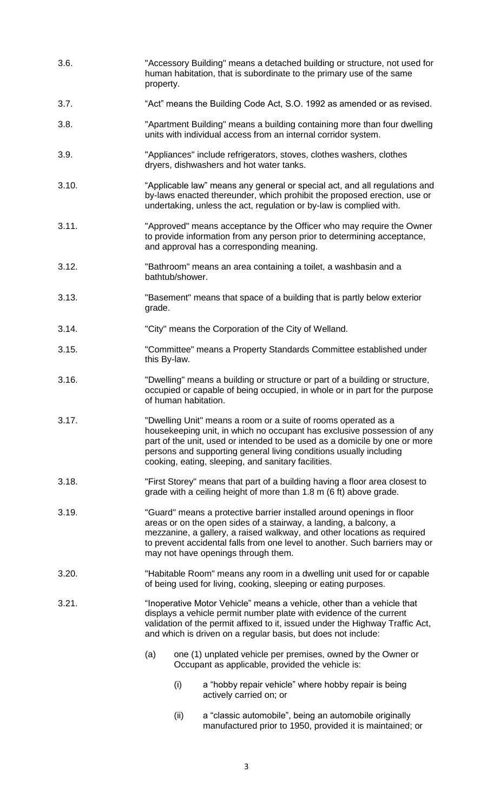- 3.6. "Accessory Building" means a detached building or structure, not used for human habitation, that is subordinate to the primary use of the same property.
- 3.7. "Act" means the Building Code Act, S.O. 1992 as amended or as revised.
- 3.8. "Apartment Building" means a building containing more than four dwelling units with individual access from an internal corridor system.
- 3.9. "Appliances" include refrigerators, stoves, clothes washers, clothes dryers, dishwashers and hot water tanks.
- 3.10. "Applicable law" means any general or special act, and all regulations and by-laws enacted thereunder, which prohibit the proposed erection, use or undertaking, unless the act, regulation or by-law is complied with.
- 3.11. "Approved" means acceptance by the Officer who may require the Owner to provide information from any person prior to determining acceptance, and approval has a corresponding meaning.
- 3.12. "Bathroom" means an area containing a toilet, a washbasin and a bathtub/shower.
- 3.13. "Basement" means that space of a building that is partly below exterior grade.
- 3.14. "City" means the Corporation of the City of Welland.
- 3.15. "Committee" means a Property Standards Committee established under this By-law.
- 3.16. "Dwelling" means a building or structure or part of a building or structure, occupied or capable of being occupied, in whole or in part for the purpose of human habitation.
- 3.17. "Dwelling Unit" means a room or a suite of rooms operated as a housekeeping unit, in which no occupant has exclusive possession of any part of the unit, used or intended to be used as a domicile by one or more persons and supporting general living conditions usually including cooking, eating, sleeping, and sanitary facilities.
- 3.18. "First Storey" means that part of a building having a floor area closest to grade with a ceiling height of more than 1.8 m (6 ft) above grade.
- 3.19. "Guard" means a protective barrier installed around openings in floor areas or on the open sides of a stairway, a landing, a balcony, a mezzanine, a gallery, a raised walkway, and other locations as required to prevent accidental falls from one level to another. Such barriers may or may not have openings through them.
- 3.20. "Habitable Room" means any room in a dwelling unit used for or capable of being used for living, cooking, sleeping or eating purposes.
- 3.21. "Inoperative Motor Vehicle" means a vehicle, other than a vehicle that displays a vehicle permit number plate with evidence of the current validation of the permit affixed to it, issued under the Highway Traffic Act, and which is driven on a regular basis, but does not include:
	- (a) one (1) unplated vehicle per premises, owned by the Owner or Occupant as applicable, provided the vehicle is:
		- (i) a "hobby repair vehicle" where hobby repair is being actively carried on; or
		- (ii) a "classic automobile", being an automobile originally manufactured prior to 1950, provided it is maintained; or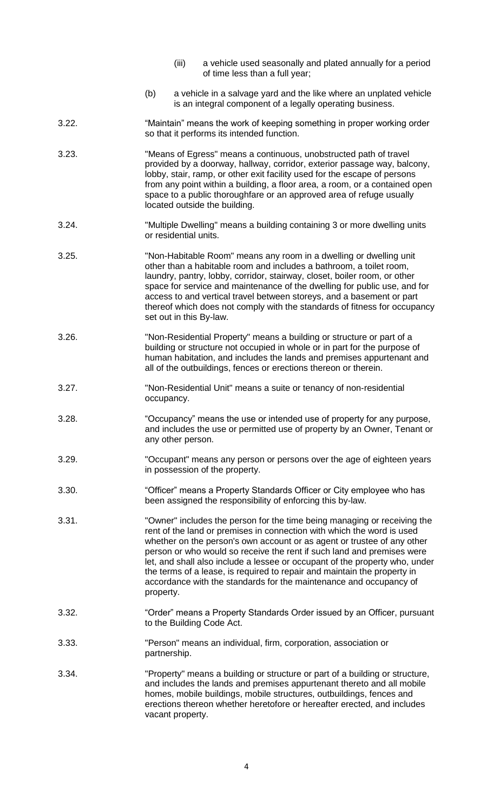- (iii) a vehicle used seasonally and plated annually for a period of time less than a full year;
- (b) a vehicle in a salvage yard and the like where an unplated vehicle is an integral component of a legally operating business.
- 3.22. "Maintain" means the work of keeping something in proper working order so that it performs its intended function.
- 3.23. "Means of Egress" means a continuous, unobstructed path of travel provided by a doorway, hallway, corridor, exterior passage way, balcony, lobby, stair, ramp, or other exit facility used for the escape of persons from any point within a building, a floor area, a room, or a contained open space to a public thoroughfare or an approved area of refuge usually located outside the building.
- 3.24. "Multiple Dwelling" means a building containing 3 or more dwelling units or residential units.
- 3.25. "Non-Habitable Room" means any room in a dwelling or dwelling unit other than a habitable room and includes a bathroom, a toilet room, laundry, pantry, lobby, corridor, stairway, closet, boiler room, or other space for service and maintenance of the dwelling for public use, and for access to and vertical travel between storeys, and a basement or part thereof which does not comply with the standards of fitness for occupancy set out in this By-law.
- 3.26. "Non-Residential Property" means a building or structure or part of a building or structure not occupied in whole or in part for the purpose of human habitation, and includes the lands and premises appurtenant and all of the outbuildings, fences or erections thereon or therein.
- 3.27. "Non-Residential Unit" means a suite or tenancy of non-residential occupancy.
- 3.28. "Occupancy" means the use or intended use of property for any purpose, and includes the use or permitted use of property by an Owner, Tenant or any other person.
- 3.29. "Occupant" means any person or persons over the age of eighteen years in possession of the property.
- 3.30. "Officer" means a Property Standards Officer or City employee who has been assigned the responsibility of enforcing this by-law.
- 3.31. "Owner" includes the person for the time being managing or receiving the rent of the land or premises in connection with which the word is used whether on the person's own account or as agent or trustee of any other person or who would so receive the rent if such land and premises were let, and shall also include a lessee or occupant of the property who, under the terms of a lease, is required to repair and maintain the property in accordance with the standards for the maintenance and occupancy of property.
- 3.32. "Order" means a Property Standards Order issued by an Officer, pursuant to the Building Code Act.
- 3.33. "Person" means an individual, firm, corporation, association or partnership.
- 3.34. "Property" means a building or structure or part of a building or structure, and includes the lands and premises appurtenant thereto and all mobile homes, mobile buildings, mobile structures, outbuildings, fences and erections thereon whether heretofore or hereafter erected, and includes vacant property.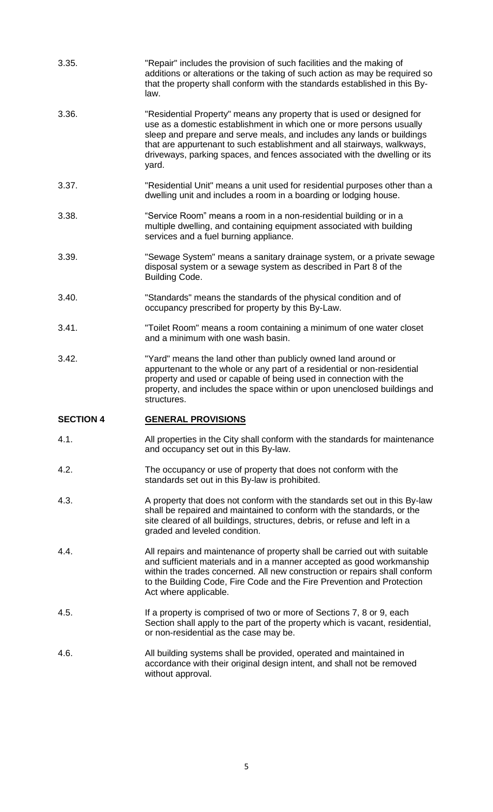| 3.35.            | "Repair" includes the provision of such facilities and the making of<br>additions or alterations or the taking of such action as may be required so<br>that the property shall conform with the standards established in this By-<br>law.                                                                                                                                                 |
|------------------|-------------------------------------------------------------------------------------------------------------------------------------------------------------------------------------------------------------------------------------------------------------------------------------------------------------------------------------------------------------------------------------------|
| 3.36.            | "Residential Property" means any property that is used or designed for<br>use as a domestic establishment in which one or more persons usually<br>sleep and prepare and serve meals, and includes any lands or buildings<br>that are appurtenant to such establishment and all stairways, walkways,<br>driveways, parking spaces, and fences associated with the dwelling or its<br>yard. |
| 3.37.            | "Residential Unit" means a unit used for residential purposes other than a<br>dwelling unit and includes a room in a boarding or lodging house.                                                                                                                                                                                                                                           |
| 3.38.            | "Service Room" means a room in a non-residential building or in a<br>multiple dwelling, and containing equipment associated with building<br>services and a fuel burning appliance.                                                                                                                                                                                                       |
| 3.39.            | "Sewage System" means a sanitary drainage system, or a private sewage<br>disposal system or a sewage system as described in Part 8 of the<br><b>Building Code.</b>                                                                                                                                                                                                                        |
| 3.40.            | "Standards" means the standards of the physical condition and of<br>occupancy prescribed for property by this By-Law.                                                                                                                                                                                                                                                                     |
| 3.41.            | "Toilet Room" means a room containing a minimum of one water closet<br>and a minimum with one wash basin.                                                                                                                                                                                                                                                                                 |
| 3.42.            | "Yard" means the land other than publicly owned land around or<br>appurtenant to the whole or any part of a residential or non-residential<br>property and used or capable of being used in connection with the<br>property, and includes the space within or upon unenclosed buildings and<br>structures.                                                                                |
| <b>SECTION 4</b> | <b>GENERAL PROVISIONS</b>                                                                                                                                                                                                                                                                                                                                                                 |
| 4.1.             | All properties in the City shall conform with the standards for maintenance<br>and occupancy set out in this By-law.                                                                                                                                                                                                                                                                      |
| 4.2.             | The occupancy or use of property that does not conform with the<br>standards set out in this By-law is prohibited.                                                                                                                                                                                                                                                                        |
| 4.3.             | A property that does not conform with the standards set out in this By-law<br>shall be repaired and maintained to conform with the standards, or the<br>site cleared of all buildings, structures, debris, or refuse and left in a<br>graded and leveled condition.                                                                                                                       |
| 4.4.             | All repairs and maintenance of property shall be carried out with suitable<br>and sufficient materials and in a manner accepted as good workmanship<br>within the trades concerned. All new construction or repairs shall conform<br>to the Building Code, Fire Code and the Fire Prevention and Protection<br>Act where applicable.                                                      |
| 4.5.             | If a property is comprised of two or more of Sections 7, 8 or 9, each<br>Section shall apply to the part of the property which is vacant, residential,<br>or non-residential as the case may be.                                                                                                                                                                                          |
| 4.6.             | All building systems shall be provided, operated and maintained in<br>accordance with their original design intent, and shall not be removed<br>without approval.                                                                                                                                                                                                                         |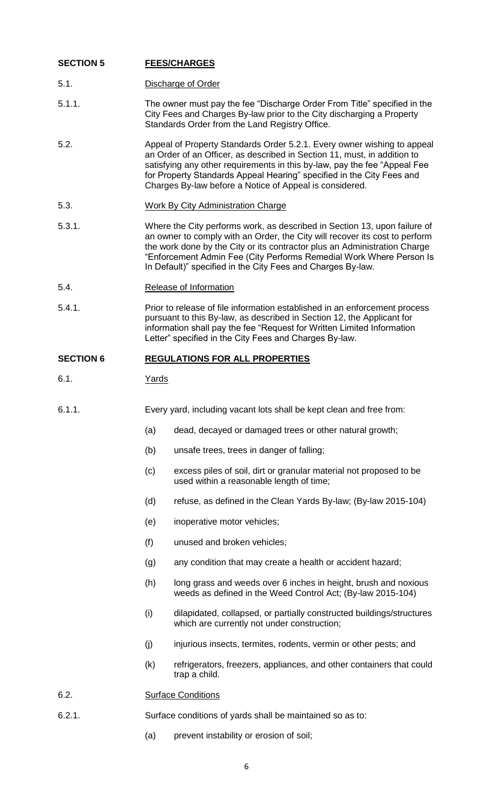#### **SECTION 5 FEES/CHARGES**

- 5.1. Discharge of Order
- 5.1.1. The owner must pay the fee "Discharge Order From Title" specified in the City Fees and Charges By-law prior to the City discharging a Property Standards Order from the Land Registry Office.
- 5.2. Appeal of Property Standards Order 5.2.1. Every owner wishing to appeal an Order of an Officer, as described in Section 11, must, in addition to satisfying any other requirements in this by-law, pay the fee "Appeal Fee for Property Standards Appeal Hearing" specified in the City Fees and Charges By-law before a Notice of Appeal is considered.
- 5.3. Work By City Administration Charge
- 5.3.1. Where the City performs work, as described in Section 13, upon failure of an owner to comply with an Order, the City will recover its cost to perform the work done by the City or its contractor plus an Administration Charge "Enforcement Admin Fee (City Performs Remedial Work Where Person Is In Default)" specified in the City Fees and Charges By-law.
- 5.4. Release of Information
- 5.4.1. Prior to release of file information established in an enforcement process pursuant to this By-law, as described in Section 12, the Applicant for information shall pay the fee "Request for Written Limited Information Letter" specified in the City Fees and Charges By-law.

## **SECTION 6 REGULATIONS FOR ALL PROPERTIES**

- 6.1. Yards
- 6.1.1. Every yard, including vacant lots shall be kept clean and free from:
	- (a) dead, decayed or damaged trees or other natural growth;
	- (b) unsafe trees, trees in danger of falling;
	- (c) excess piles of soil, dirt or granular material not proposed to be used within a reasonable length of time;
	- (d) refuse, as defined in the Clean Yards By-law; (By-law 2015-104)
	- (e) inoperative motor vehicles;
	- (f) unused and broken vehicles;
	- (g) any condition that may create a health or accident hazard;
	- (h) long grass and weeds over 6 inches in height, brush and noxious weeds as defined in the Weed Control Act; (By-law 2015-104)
	- (i) dilapidated, collapsed, or partially constructed buildings/structures which are currently not under construction;
	- (i) injurious insects, termites, rodents, vermin or other pests; and
	- (k) refrigerators, freezers, appliances, and other containers that could trap a child.

#### 6.2. Surface Conditions

- 6.2.1. Surface conditions of yards shall be maintained so as to:
	- (a) prevent instability or erosion of soil;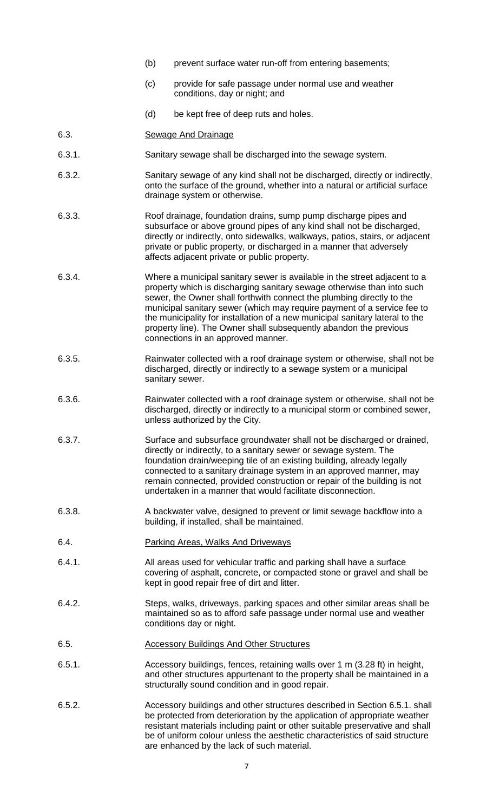- (b) prevent surface water run-off from entering basements;
- (c) provide for safe passage under normal use and weather conditions, day or night; and
- (d) be kept free of deep ruts and holes.
- 6.3. Sewage And Drainage
- 6.3.1. Sanitary sewage shall be discharged into the sewage system.
- 6.3.2. Sanitary sewage of any kind shall not be discharged, directly or indirectly, onto the surface of the ground, whether into a natural or artificial surface drainage system or otherwise.
- 6.3.3. Roof drainage, foundation drains, sump pump discharge pipes and subsurface or above ground pipes of any kind shall not be discharged, directly or indirectly, onto sidewalks, walkways, patios, stairs, or adjacent private or public property, or discharged in a manner that adversely affects adjacent private or public property.
- 6.3.4. Where a municipal sanitary sewer is available in the street adjacent to a property which is discharging sanitary sewage otherwise than into such sewer, the Owner shall forthwith connect the plumbing directly to the municipal sanitary sewer (which may require payment of a service fee to the municipality for installation of a new municipal sanitary lateral to the property line). The Owner shall subsequently abandon the previous connections in an approved manner.
- 6.3.5. Rainwater collected with a roof drainage system or otherwise, shall not be discharged, directly or indirectly to a sewage system or a municipal sanitary sewer.
- 6.3.6. Rainwater collected with a roof drainage system or otherwise, shall not be discharged, directly or indirectly to a municipal storm or combined sewer, unless authorized by the City.
- 6.3.7. Surface and subsurface groundwater shall not be discharged or drained, directly or indirectly, to a sanitary sewer or sewage system. The foundation drain/weeping tile of an existing building, already legally connected to a sanitary drainage system in an approved manner, may remain connected, provided construction or repair of the building is not undertaken in a manner that would facilitate disconnection.
- 6.3.8. A backwater valve, designed to prevent or limit sewage backflow into a building, if installed, shall be maintained.
- 6.4. Parking Areas, Walks And Driveways
- 6.4.1. All areas used for vehicular traffic and parking shall have a surface covering of asphalt, concrete, or compacted stone or gravel and shall be kept in good repair free of dirt and litter.
- 6.4.2. Steps, walks, driveways, parking spaces and other similar areas shall be maintained so as to afford safe passage under normal use and weather conditions day or night.
- 6.5. Accessory Buildings And Other Structures
- 6.5.1. Accessory buildings, fences, retaining walls over 1 m (3.28 ft) in height, and other structures appurtenant to the property shall be maintained in a structurally sound condition and in good repair.
- 6.5.2. Accessory buildings and other structures described in Section 6.5.1. shall be protected from deterioration by the application of appropriate weather resistant materials including paint or other suitable preservative and shall be of uniform colour unless the aesthetic characteristics of said structure are enhanced by the lack of such material.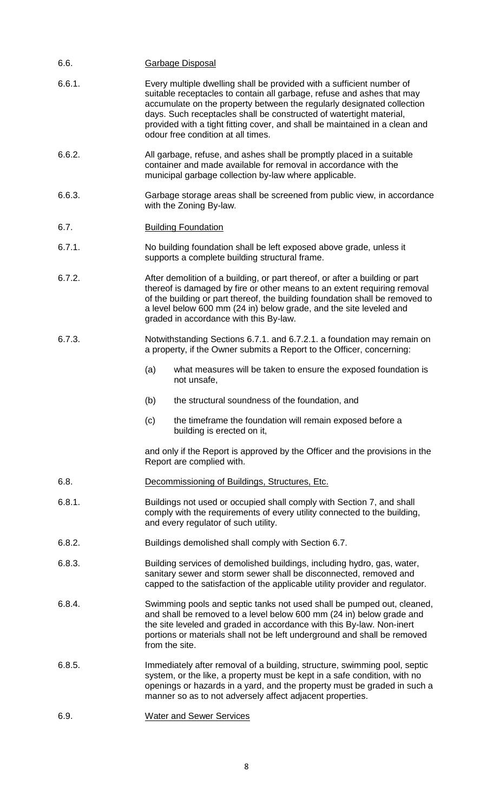| 6.6.   | <b>Garbage Disposal</b>                                                                                                                                                                                                                                                                                                                                                                                               |                                                                                                                                                                                                                                                                                                 |  |  |  |
|--------|-----------------------------------------------------------------------------------------------------------------------------------------------------------------------------------------------------------------------------------------------------------------------------------------------------------------------------------------------------------------------------------------------------------------------|-------------------------------------------------------------------------------------------------------------------------------------------------------------------------------------------------------------------------------------------------------------------------------------------------|--|--|--|
| 6.6.1. | Every multiple dwelling shall be provided with a sufficient number of<br>suitable receptacles to contain all garbage, refuse and ashes that may<br>accumulate on the property between the regularly designated collection<br>days. Such receptacles shall be constructed of watertight material,<br>provided with a tight fitting cover, and shall be maintained in a clean and<br>odour free condition at all times. |                                                                                                                                                                                                                                                                                                 |  |  |  |
| 6.6.2. | All garbage, refuse, and ashes shall be promptly placed in a suitable<br>container and made available for removal in accordance with the<br>municipal garbage collection by-law where applicable.                                                                                                                                                                                                                     |                                                                                                                                                                                                                                                                                                 |  |  |  |
| 6.6.3. | Garbage storage areas shall be screened from public view, in accordance<br>with the Zoning By-law.                                                                                                                                                                                                                                                                                                                    |                                                                                                                                                                                                                                                                                                 |  |  |  |
| 6.7.   |                                                                                                                                                                                                                                                                                                                                                                                                                       | <b>Building Foundation</b>                                                                                                                                                                                                                                                                      |  |  |  |
| 6.7.1. |                                                                                                                                                                                                                                                                                                                                                                                                                       | No building foundation shall be left exposed above grade, unless it<br>supports a complete building structural frame.                                                                                                                                                                           |  |  |  |
| 6.7.2. | After demolition of a building, or part thereof, or after a building or part<br>thereof is damaged by fire or other means to an extent requiring removal<br>of the building or part thereof, the building foundation shall be removed to<br>a level below 600 mm (24 in) below grade, and the site leveled and<br>graded in accordance with this By-law.                                                              |                                                                                                                                                                                                                                                                                                 |  |  |  |
| 6.7.3. | Notwithstanding Sections 6.7.1. and 6.7.2.1. a foundation may remain on<br>a property, if the Owner submits a Report to the Officer, concerning:                                                                                                                                                                                                                                                                      |                                                                                                                                                                                                                                                                                                 |  |  |  |
|        | (a)                                                                                                                                                                                                                                                                                                                                                                                                                   | what measures will be taken to ensure the exposed foundation is<br>not unsafe,                                                                                                                                                                                                                  |  |  |  |
|        | (b)                                                                                                                                                                                                                                                                                                                                                                                                                   | the structural soundness of the foundation, and                                                                                                                                                                                                                                                 |  |  |  |
|        | (c)                                                                                                                                                                                                                                                                                                                                                                                                                   | the timeframe the foundation will remain exposed before a<br>building is erected on it,                                                                                                                                                                                                         |  |  |  |
|        | and only if the Report is approved by the Officer and the provisions in the<br>Report are complied with.                                                                                                                                                                                                                                                                                                              |                                                                                                                                                                                                                                                                                                 |  |  |  |
| 6.8.   |                                                                                                                                                                                                                                                                                                                                                                                                                       | Decommissioning of Buildings, Structures, Etc.                                                                                                                                                                                                                                                  |  |  |  |
| 6.8.1. | Buildings not used or occupied shall comply with Section 7, and shall<br>comply with the requirements of every utility connected to the building,<br>and every regulator of such utility.                                                                                                                                                                                                                             |                                                                                                                                                                                                                                                                                                 |  |  |  |
| 6.8.2. | Buildings demolished shall comply with Section 6.7.                                                                                                                                                                                                                                                                                                                                                                   |                                                                                                                                                                                                                                                                                                 |  |  |  |
| 6.8.3. | Building services of demolished buildings, including hydro, gas, water,<br>sanitary sewer and storm sewer shall be disconnected, removed and<br>capped to the satisfaction of the applicable utility provider and regulator.                                                                                                                                                                                          |                                                                                                                                                                                                                                                                                                 |  |  |  |
| 6.8.4. | Swimming pools and septic tanks not used shall be pumped out, cleaned,<br>and shall be removed to a level below 600 mm (24 in) below grade and<br>the site leveled and graded in accordance with this By-law. Non-inert<br>portions or materials shall not be left underground and shall be removed<br>from the site.                                                                                                 |                                                                                                                                                                                                                                                                                                 |  |  |  |
| 6.8.5. |                                                                                                                                                                                                                                                                                                                                                                                                                       | Immediately after removal of a building, structure, swimming pool, septic<br>system, or the like, a property must be kept in a safe condition, with no<br>openings or hazards in a yard, and the property must be graded in such a<br>manner so as to not adversely affect adjacent properties. |  |  |  |
| 6.9.   | <b>Water and Sewer Services</b>                                                                                                                                                                                                                                                                                                                                                                                       |                                                                                                                                                                                                                                                                                                 |  |  |  |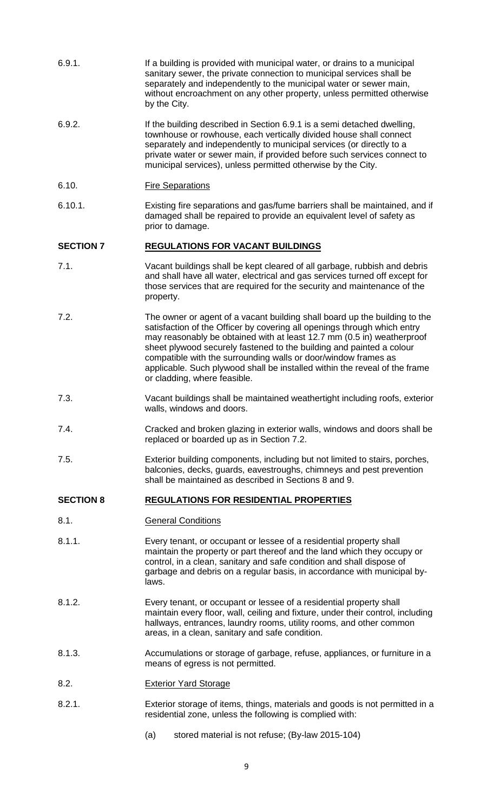| 6.9.1.           | If a building is provided with municipal water, or drains to a municipal<br>sanitary sewer, the private connection to municipal services shall be<br>separately and independently to the municipal water or sewer main,<br>without encroachment on any other property, unless permitted otherwise<br>by the City.                                                 |
|------------------|-------------------------------------------------------------------------------------------------------------------------------------------------------------------------------------------------------------------------------------------------------------------------------------------------------------------------------------------------------------------|
| 6.9.2.           | If the building described in Section 6.9.1 is a semi detached dwelling,<br>townhouse or rowhouse, each vertically divided house shall connect<br>separately and independently to municipal services (or directly to a<br>private water or sewer main, if provided before such services connect to<br>municipal services), unless permitted otherwise by the City. |
| 6.10.            | <b>Fire Separations</b>                                                                                                                                                                                                                                                                                                                                           |
| 6.10.1.          | Existing fire separations and gas/fume barriers shall be maintained, and if<br>damaged shall be repaired to provide an equivalent level of safety as<br>prior to damage.                                                                                                                                                                                          |
| <b>SECTION 7</b> | <b>REGULATIONS FOR VACANT BUILDINGS</b>                                                                                                                                                                                                                                                                                                                           |
| 7.1.             | Vacant buildings shall be kept cleared of all garbage, rubbish and debris                                                                                                                                                                                                                                                                                         |

- and shall have all water, electrical and gas services turned off except for those services that are required for the security and maintenance of the property.
- 7.2. The owner or agent of a vacant building shall board up the building to the satisfaction of the Officer by covering all openings through which entry may reasonably be obtained with at least 12.7 mm (0.5 in) weatherproof sheet plywood securely fastened to the building and painted a colour compatible with the surrounding walls or door/window frames as applicable. Such plywood shall be installed within the reveal of the frame or cladding, where feasible.
- 7.3. Vacant buildings shall be maintained weathertight including roofs, exterior walls, windows and doors.
- 7.4. Cracked and broken glazing in exterior walls, windows and doors shall be replaced or boarded up as in Section 7.2.
- 7.5. Exterior building components, including but not limited to stairs, porches, balconies, decks, guards, eavestroughs, chimneys and pest prevention shall be maintained as described in Sections 8 and 9.

## **SECTION 8 REGULATIONS FOR RESIDENTIAL PROPERTIES**

- 8.1. General Conditions
- 8.1.1. Every tenant, or occupant or lessee of a residential property shall maintain the property or part thereof and the land which they occupy or control, in a clean, sanitary and safe condition and shall dispose of garbage and debris on a regular basis, in accordance with municipal bylaws.
- 8.1.2. Every tenant, or occupant or lessee of a residential property shall maintain every floor, wall, ceiling and fixture, under their control, including hallways, entrances, laundry rooms, utility rooms, and other common areas, in a clean, sanitary and safe condition.
- 8.1.3. Accumulations or storage of garbage, refuse, appliances, or furniture in a means of egress is not permitted.
- 8.2. Exterior Yard Storage
- 8.2.1. Exterior storage of items, things, materials and goods is not permitted in a residential zone, unless the following is complied with:
	- (a) stored material is not refuse; (By-law 2015-104)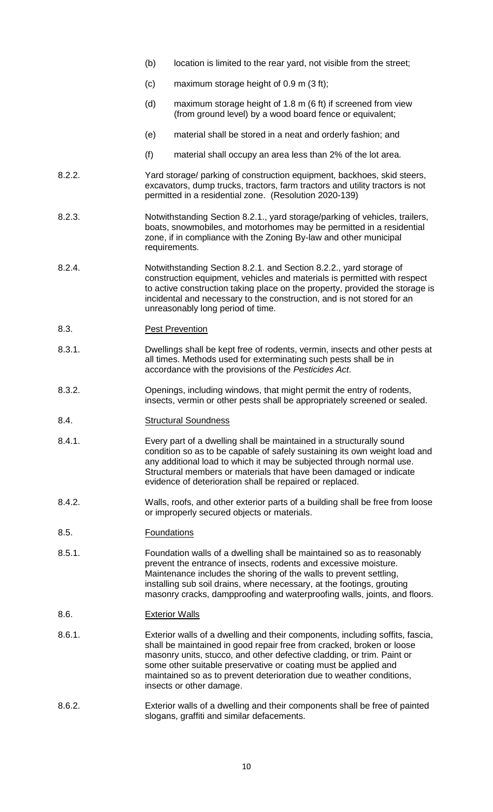- (b) location is limited to the rear yard, not visible from the street;
- (c) maximum storage height of 0.9 m (3 ft);
- (d) maximum storage height of 1.8 m (6 ft) if screened from view (from ground level) by a wood board fence or equivalent;
- (e) material shall be stored in a neat and orderly fashion; and
- (f) material shall occupy an area less than 2% of the lot area.
- 8.2.2. Yard storage/ parking of construction equipment, backhoes, skid steers, excavators, dump trucks, tractors, farm tractors and utility tractors is not permitted in a residential zone. (Resolution 2020-139)
- 8.2.3. Notwithstanding Section 8.2.1., yard storage/parking of vehicles, trailers, boats, snowmobiles, and motorhomes may be permitted in a residential zone, if in compliance with the Zoning By-law and other municipal requirements.
- 8.2.4. Notwithstanding Section 8.2.1. and Section 8.2.2., yard storage of construction equipment, vehicles and materials is permitted with respect to active construction taking place on the property, provided the storage is incidental and necessary to the construction, and is not stored for an unreasonably long period of time.
- 8.3. Pest Prevention
- 8.3.1. Dwellings shall be kept free of rodents, vermin, insects and other pests at all times. Methods used for exterminating such pests shall be in accordance with the provisions of the *Pesticides Act*.
- 8.3.2. Openings, including windows, that might permit the entry of rodents, insects, vermin or other pests shall be appropriately screened or sealed.
- 8.4. Structural Soundness
- 8.4.1. Every part of a dwelling shall be maintained in a structurally sound condition so as to be capable of safely sustaining its own weight load and any additional load to which it may be subjected through normal use. Structural members or materials that have been damaged or indicate evidence of deterioration shall be repaired or replaced.
- 8.4.2. Walls, roofs, and other exterior parts of a building shall be free from loose or improperly secured objects or materials.
- 8.5. Foundations
- 8.5.1. Foundation walls of a dwelling shall be maintained so as to reasonably prevent the entrance of insects, rodents and excessive moisture. Maintenance includes the shoring of the walls to prevent settling, installing sub soil drains, where necessary, at the footings, grouting masonry cracks, dampproofing and waterproofing walls, joints, and floors.
- 8.6. Exterior Walls
- 8.6.1. Exterior walls of a dwelling and their components, including soffits, fascia, shall be maintained in good repair free from cracked, broken or loose masonry units, stucco, and other defective cladding, or trim. Paint or some other suitable preservative or coating must be applied and maintained so as to prevent deterioration due to weather conditions, insects or other damage.
- 8.6.2. Exterior walls of a dwelling and their components shall be free of painted slogans, graffiti and similar defacements.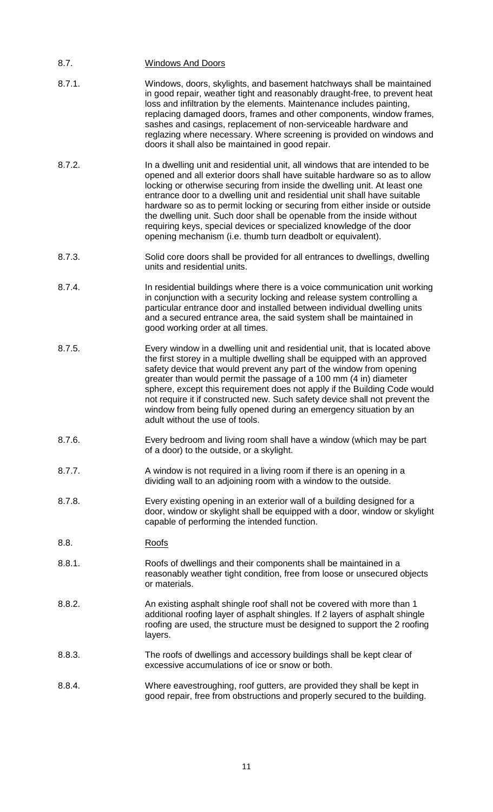| 8.7.   | <b>Windows And Doors</b>                                                                                                                                                                                                                                                                                                                                                                                                                                                                                                                                                                                           |
|--------|--------------------------------------------------------------------------------------------------------------------------------------------------------------------------------------------------------------------------------------------------------------------------------------------------------------------------------------------------------------------------------------------------------------------------------------------------------------------------------------------------------------------------------------------------------------------------------------------------------------------|
| 8.7.1. | Windows, doors, skylights, and basement hatchways shall be maintained<br>in good repair, weather tight and reasonably draught-free, to prevent heat<br>loss and infiltration by the elements. Maintenance includes painting,<br>replacing damaged doors, frames and other components, window frames,<br>sashes and casings, replacement of non-serviceable hardware and<br>reglazing where necessary. Where screening is provided on windows and<br>doors it shall also be maintained in good repair.                                                                                                              |
| 8.7.2. | In a dwelling unit and residential unit, all windows that are intended to be<br>opened and all exterior doors shall have suitable hardware so as to allow<br>locking or otherwise securing from inside the dwelling unit. At least one<br>entrance door to a dwelling unit and residential unit shall have suitable<br>hardware so as to permit locking or securing from either inside or outside<br>the dwelling unit. Such door shall be openable from the inside without<br>requiring keys, special devices or specialized knowledge of the door<br>opening mechanism (i.e. thumb turn deadbolt or equivalent). |
| 8.7.3. | Solid core doors shall be provided for all entrances to dwellings, dwelling<br>units and residential units.                                                                                                                                                                                                                                                                                                                                                                                                                                                                                                        |
| 8.7.4. | In residential buildings where there is a voice communication unit working<br>in conjunction with a security locking and release system controlling a<br>particular entrance door and installed between individual dwelling units<br>and a secured entrance area, the said system shall be maintained in<br>good working order at all times.                                                                                                                                                                                                                                                                       |
| 8.7.5. | Every window in a dwelling unit and residential unit, that is located above<br>the first storey in a multiple dwelling shall be equipped with an approved<br>safety device that would prevent any part of the window from opening<br>greater than would permit the passage of a 100 mm (4 in) diameter<br>sphere, except this requirement does not apply if the Building Code would<br>not require it if constructed new. Such safety device shall not prevent the<br>window from being fully opened during an emergency situation by an<br>adult without the use of tools.                                        |
| 8.7.6. | Every bedroom and living room shall have a window (which may be part<br>of a door) to the outside, or a skylight.                                                                                                                                                                                                                                                                                                                                                                                                                                                                                                  |
| 8.7.7. | A window is not required in a living room if there is an opening in a<br>dividing wall to an adjoining room with a window to the outside.                                                                                                                                                                                                                                                                                                                                                                                                                                                                          |
| 8.7.8. | Every existing opening in an exterior wall of a building designed for a<br>door, window or skylight shall be equipped with a door, window or skylight<br>capable of performing the intended function.                                                                                                                                                                                                                                                                                                                                                                                                              |
| 8.8.   | Roofs                                                                                                                                                                                                                                                                                                                                                                                                                                                                                                                                                                                                              |
| 8.8.1. | Roofs of dwellings and their components shall be maintained in a<br>reasonably weather tight condition, free from loose or unsecured objects<br>or materials.                                                                                                                                                                                                                                                                                                                                                                                                                                                      |
| 8.8.2. | An existing asphalt shingle roof shall not be covered with more than 1<br>additional roofing layer of asphalt shingles. If 2 layers of asphalt shingle<br>roofing are used, the structure must be designed to support the 2 roofing<br>layers.                                                                                                                                                                                                                                                                                                                                                                     |
| 8.8.3. | The roofs of dwellings and accessory buildings shall be kept clear of<br>excessive accumulations of ice or snow or both.                                                                                                                                                                                                                                                                                                                                                                                                                                                                                           |
| 8.8.4. | Where eavestroughing, roof gutters, are provided they shall be kept in<br>good repair, free from obstructions and properly secured to the building.                                                                                                                                                                                                                                                                                                                                                                                                                                                                |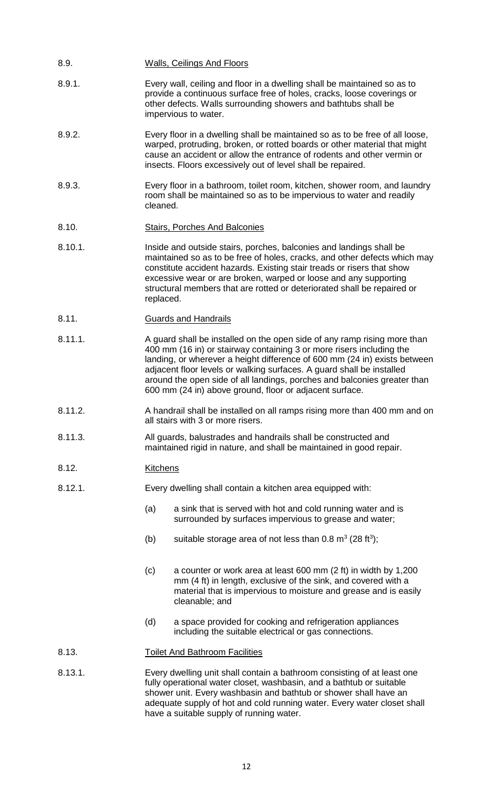- 8.9. Walls, Ceilings And Floors
- 8.9.1. Every wall, ceiling and floor in a dwelling shall be maintained so as to provide a continuous surface free of holes, cracks, loose coverings or other defects. Walls surrounding showers and bathtubs shall be impervious to water.
- 8.9.2. Every floor in a dwelling shall be maintained so as to be free of all loose, warped, protruding, broken, or rotted boards or other material that might cause an accident or allow the entrance of rodents and other vermin or insects. Floors excessively out of level shall be repaired.
- 8.9.3. Every floor in a bathroom, toilet room, kitchen, shower room, and laundry room shall be maintained so as to be impervious to water and readily cleaned.
- 8.10. Stairs, Porches And Balconies
- 8.10.1. Inside and outside stairs, porches, balconies and landings shall be maintained so as to be free of holes, cracks, and other defects which may constitute accident hazards. Existing stair treads or risers that show excessive wear or are broken, warped or loose and any supporting structural members that are rotted or deteriorated shall be repaired or replaced.
- 8.11. Guards and Handrails
- 8.11.1. A guard shall be installed on the open side of any ramp rising more than 400 mm (16 in) or stairway containing 3 or more risers including the landing, or wherever a height difference of 600 mm (24 in) exists between adjacent floor levels or walking surfaces. A guard shall be installed around the open side of all landings, porches and balconies greater than 600 mm (24 in) above ground, floor or adjacent surface.
- 8.11.2. A handrail shall be installed on all ramps rising more than 400 mm and on all stairs with 3 or more risers.
- 8.11.3. All guards, balustrades and handrails shall be constructed and maintained rigid in nature, and shall be maintained in good repair.
- 8.12. Kitchens
- 8.12.1. Every dwelling shall contain a kitchen area equipped with:
	- (a) a sink that is served with hot and cold running water and is surrounded by surfaces impervious to grease and water;
	- (b) suitable storage area of not less than  $0.8 \text{ m}^3$  (28 ft<sup>3</sup>);
	- (c) a counter or work area at least 600 mm (2 ft) in width by 1,200 mm (4 ft) in length, exclusive of the sink, and covered with a material that is impervious to moisture and grease and is easily cleanable; and
	- (d) a space provided for cooking and refrigeration appliances including the suitable electrical or gas connections.

#### 8.13. Toilet And Bathroom Facilities

8.13.1. Every dwelling unit shall contain a bathroom consisting of at least one fully operational water closet, washbasin, and a bathtub or suitable shower unit. Every washbasin and bathtub or shower shall have an adequate supply of hot and cold running water. Every water closet shall have a suitable supply of running water.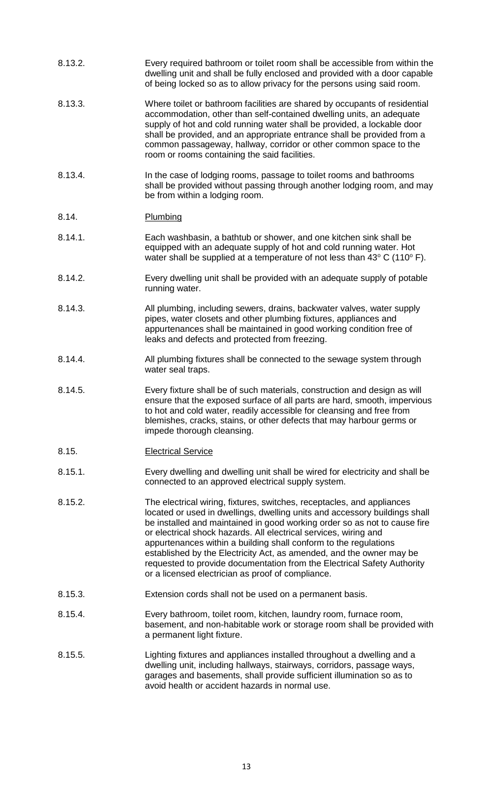| 8.13.2. | Every required bathroom or toilet room shall be accessible from within the<br>dwelling unit and shall be fully enclosed and provided with a door capable<br>of being locked so as to allow privacy for the persons using said room.                                                                                                                                                                                                                                                                                                                                               |
|---------|-----------------------------------------------------------------------------------------------------------------------------------------------------------------------------------------------------------------------------------------------------------------------------------------------------------------------------------------------------------------------------------------------------------------------------------------------------------------------------------------------------------------------------------------------------------------------------------|
| 8.13.3. | Where toilet or bathroom facilities are shared by occupants of residential<br>accommodation, other than self-contained dwelling units, an adequate<br>supply of hot and cold running water shall be provided, a lockable door<br>shall be provided, and an appropriate entrance shall be provided from a<br>common passageway, hallway, corridor or other common space to the<br>room or rooms containing the said facilities.                                                                                                                                                    |
| 8.13.4. | In the case of lodging rooms, passage to toilet rooms and bathrooms<br>shall be provided without passing through another lodging room, and may<br>be from within a lodging room.                                                                                                                                                                                                                                                                                                                                                                                                  |
| 8.14.   | Plumbing                                                                                                                                                                                                                                                                                                                                                                                                                                                                                                                                                                          |
| 8.14.1. | Each washbasin, a bathtub or shower, and one kitchen sink shall be<br>equipped with an adequate supply of hot and cold running water. Hot<br>water shall be supplied at a temperature of not less than $43^{\circ}$ C (110 $^{\circ}$ F).                                                                                                                                                                                                                                                                                                                                         |
| 8.14.2. | Every dwelling unit shall be provided with an adequate supply of potable<br>running water.                                                                                                                                                                                                                                                                                                                                                                                                                                                                                        |
| 8.14.3. | All plumbing, including sewers, drains, backwater valves, water supply<br>pipes, water closets and other plumbing fixtures, appliances and<br>appurtenances shall be maintained in good working condition free of<br>leaks and defects and protected from freezing.                                                                                                                                                                                                                                                                                                               |
| 8.14.4. | All plumbing fixtures shall be connected to the sewage system through<br>water seal traps.                                                                                                                                                                                                                                                                                                                                                                                                                                                                                        |
| 8.14.5. | Every fixture shall be of such materials, construction and design as will<br>ensure that the exposed surface of all parts are hard, smooth, impervious<br>to hot and cold water, readily accessible for cleansing and free from<br>blemishes, cracks, stains, or other defects that may harbour germs or<br>impede thorough cleansing.                                                                                                                                                                                                                                            |
| 8.15.   | <b>Electrical Service</b>                                                                                                                                                                                                                                                                                                                                                                                                                                                                                                                                                         |
| 8.15.1. | Every dwelling and dwelling unit shall be wired for electricity and shall be<br>connected to an approved electrical supply system.                                                                                                                                                                                                                                                                                                                                                                                                                                                |
| 8.15.2. | The electrical wiring, fixtures, switches, receptacles, and appliances<br>located or used in dwellings, dwelling units and accessory buildings shall<br>be installed and maintained in good working order so as not to cause fire<br>or electrical shock hazards. All electrical services, wiring and<br>appurtenances within a building shall conform to the regulations<br>established by the Electricity Act, as amended, and the owner may be<br>requested to provide documentation from the Electrical Safety Authority<br>or a licensed electrician as proof of compliance. |
| 8.15.3. | Extension cords shall not be used on a permanent basis.                                                                                                                                                                                                                                                                                                                                                                                                                                                                                                                           |
| 8.15.4. | Every bathroom, toilet room, kitchen, laundry room, furnace room,<br>basement, and non-habitable work or storage room shall be provided with<br>a permanent light fixture.                                                                                                                                                                                                                                                                                                                                                                                                        |
| 8.15.5. | Lighting fixtures and appliances installed throughout a dwelling and a<br>dwelling unit, including hallways, stairways, corridors, passage ways,<br>garages and basements, shall provide sufficient illumination so as to<br>avoid health or accident hazards in normal use.                                                                                                                                                                                                                                                                                                      |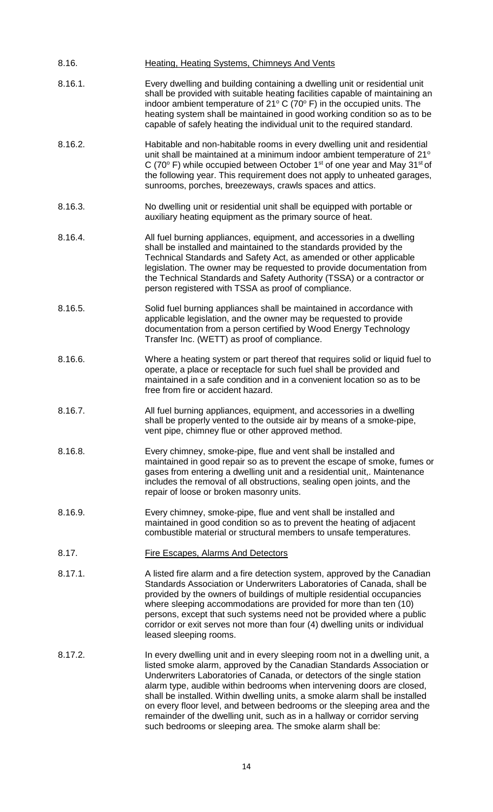| 8.16.   | <b>Heating, Heating Systems, Chimneys And Vents</b>                                                                                                                                                                                                                                                                                                                                                                                                                                                                                                                                                          |  |  |  |
|---------|--------------------------------------------------------------------------------------------------------------------------------------------------------------------------------------------------------------------------------------------------------------------------------------------------------------------------------------------------------------------------------------------------------------------------------------------------------------------------------------------------------------------------------------------------------------------------------------------------------------|--|--|--|
| 8.16.1. | Every dwelling and building containing a dwelling unit or residential unit<br>shall be provided with suitable heating facilities capable of maintaining an<br>indoor ambient temperature of $21^{\circ}$ C (70 $^{\circ}$ F) in the occupied units. The<br>heating system shall be maintained in good working condition so as to be<br>capable of safely heating the individual unit to the required standard.                                                                                                                                                                                               |  |  |  |
| 8.16.2. | Habitable and non-habitable rooms in every dwelling unit and residential<br>unit shall be maintained at a minimum indoor ambient temperature of 21°<br>C (70 $\degree$ F) while occupied between October 1 <sup>st</sup> of one year and May 31 <sup>st</sup> of<br>the following year. This requirement does not apply to unheated garages,<br>sunrooms, porches, breezeways, crawls spaces and attics.                                                                                                                                                                                                     |  |  |  |
| 8.16.3. | No dwelling unit or residential unit shall be equipped with portable or<br>auxiliary heating equipment as the primary source of heat.                                                                                                                                                                                                                                                                                                                                                                                                                                                                        |  |  |  |
| 8.16.4. | All fuel burning appliances, equipment, and accessories in a dwelling<br>shall be installed and maintained to the standards provided by the<br>Technical Standards and Safety Act, as amended or other applicable<br>legislation. The owner may be requested to provide documentation from<br>the Technical Standards and Safety Authority (TSSA) or a contractor or<br>person registered with TSSA as proof of compliance.                                                                                                                                                                                  |  |  |  |
| 8.16.5. | Solid fuel burning appliances shall be maintained in accordance with<br>applicable legislation, and the owner may be requested to provide<br>documentation from a person certified by Wood Energy Technology<br>Transfer Inc. (WETT) as proof of compliance.                                                                                                                                                                                                                                                                                                                                                 |  |  |  |
| 8.16.6. | Where a heating system or part thereof that requires solid or liquid fuel to<br>operate, a place or receptacle for such fuel shall be provided and<br>maintained in a safe condition and in a convenient location so as to be<br>free from fire or accident hazard.                                                                                                                                                                                                                                                                                                                                          |  |  |  |
| 8.16.7. | All fuel burning appliances, equipment, and accessories in a dwelling<br>shall be properly vented to the outside air by means of a smoke-pipe,<br>vent pipe, chimney flue or other approved method.                                                                                                                                                                                                                                                                                                                                                                                                          |  |  |  |
| 8.16.8. | Every chimney, smoke-pipe, flue and vent shall be installed and<br>maintained in good repair so as to prevent the escape of smoke, fumes or<br>gases from entering a dwelling unit and a residential unit,. Maintenance<br>includes the removal of all obstructions, sealing open joints, and the<br>repair of loose or broken masonry units.                                                                                                                                                                                                                                                                |  |  |  |
| 8.16.9. | Every chimney, smoke-pipe, flue and vent shall be installed and<br>maintained in good condition so as to prevent the heating of adjacent<br>combustible material or structural members to unsafe temperatures.                                                                                                                                                                                                                                                                                                                                                                                               |  |  |  |
| 8.17.   | <b>Fire Escapes, Alarms And Detectors</b>                                                                                                                                                                                                                                                                                                                                                                                                                                                                                                                                                                    |  |  |  |
| 8.17.1. | A listed fire alarm and a fire detection system, approved by the Canadian<br>Standards Association or Underwriters Laboratories of Canada, shall be<br>provided by the owners of buildings of multiple residential occupancies<br>where sleeping accommodations are provided for more than ten (10)<br>persons, except that such systems need not be provided where a public<br>corridor or exit serves not more than four (4) dwelling units or individual<br>leased sleeping rooms.                                                                                                                        |  |  |  |
| 8.17.2. | In every dwelling unit and in every sleeping room not in a dwelling unit, a<br>listed smoke alarm, approved by the Canadian Standards Association or<br>Underwriters Laboratories of Canada, or detectors of the single station<br>alarm type, audible within bedrooms when intervening doors are closed,<br>shall be installed. Within dwelling units, a smoke alarm shall be installed<br>on every floor level, and between bedrooms or the sleeping area and the<br>remainder of the dwelling unit, such as in a hallway or corridor serving<br>such bedrooms or sleeping area. The smoke alarm shall be: |  |  |  |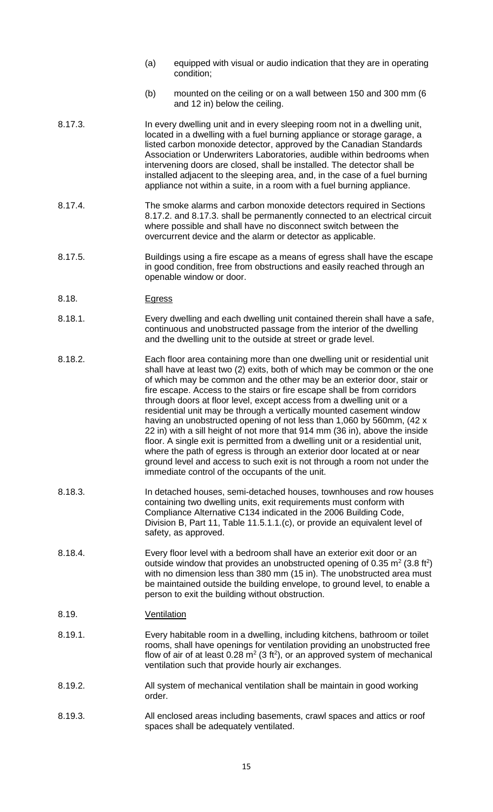- (a) equipped with visual or audio indication that they are in operating condition;
- (b) mounted on the ceiling or on a wall between 150 and 300 mm (6 and 12 in) below the ceiling.
- 8.17.3. In every dwelling unit and in every sleeping room not in a dwelling unit, located in a dwelling with a fuel burning appliance or storage garage, a listed carbon monoxide detector, approved by the Canadian Standards Association or Underwriters Laboratories, audible within bedrooms when intervening doors are closed, shall be installed. The detector shall be installed adjacent to the sleeping area, and, in the case of a fuel burning appliance not within a suite, in a room with a fuel burning appliance.
- 8.17.4. The smoke alarms and carbon monoxide detectors required in Sections 8.17.2. and 8.17.3. shall be permanently connected to an electrical circuit where possible and shall have no disconnect switch between the overcurrent device and the alarm or detector as applicable.
- 8.17.5. Buildings using a fire escape as a means of egress shall have the escape in good condition, free from obstructions and easily reached through an openable window or door.
- 8.18. Egress
- 8.18.1. Every dwelling and each dwelling unit contained therein shall have a safe, continuous and unobstructed passage from the interior of the dwelling and the dwelling unit to the outside at street or grade level.
- 8.18.2. Each floor area containing more than one dwelling unit or residential unit shall have at least two (2) exits, both of which may be common or the one of which may be common and the other may be an exterior door, stair or fire escape. Access to the stairs or fire escape shall be from corridors through doors at floor level, except access from a dwelling unit or a residential unit may be through a vertically mounted casement window having an unobstructed opening of not less than 1,060 by 560mm, (42 x 22 in) with a sill height of not more that 914 mm (36 in), above the inside floor. A single exit is permitted from a dwelling unit or a residential unit, where the path of egress is through an exterior door located at or near ground level and access to such exit is not through a room not under the immediate control of the occupants of the unit.
- 8.18.3. In detached houses, semi-detached houses, townhouses and row houses containing two dwelling units, exit requirements must conform with Compliance Alternative C134 indicated in the 2006 Building Code, Division B, Part 11, Table 11.5.1.1.(c), or provide an equivalent level of safety, as approved.
- 8.18.4. Every floor level with a bedroom shall have an exterior exit door or an outside window that provides an unobstructed opening of 0.35  $m^2$  (3.8 ft<sup>2</sup>) with no dimension less than 380 mm (15 in). The unobstructed area must be maintained outside the building envelope, to ground level, to enable a person to exit the building without obstruction.
- 8.19. Ventilation
- 8.19.1. Every habitable room in a dwelling, including kitchens, bathroom or toilet rooms, shall have openings for ventilation providing an unobstructed free flow of air of at least  $0.28 \text{ m}^2$  (3 ft<sup>2</sup>), or an approved system of mechanical ventilation such that provide hourly air exchanges.
- 8.19.2. All system of mechanical ventilation shall be maintain in good working order.
- 8.19.3. All enclosed areas including basements, crawl spaces and attics or roof spaces shall be adequately ventilated.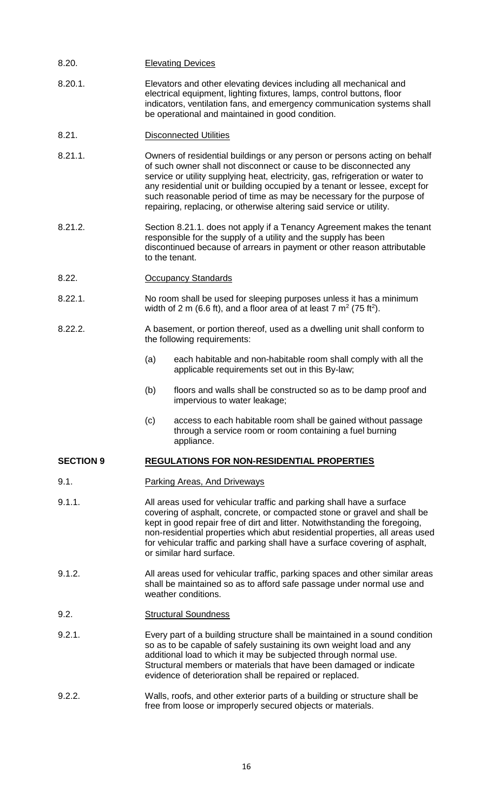| 8.20.            | <b>Elevating Devices</b>                                                                                                                                                                                                                                                                                                                                                                                                                                          |                                                                                                                                         |  |  |  |
|------------------|-------------------------------------------------------------------------------------------------------------------------------------------------------------------------------------------------------------------------------------------------------------------------------------------------------------------------------------------------------------------------------------------------------------------------------------------------------------------|-----------------------------------------------------------------------------------------------------------------------------------------|--|--|--|
| 8.20.1.          | Elevators and other elevating devices including all mechanical and<br>electrical equipment, lighting fixtures, lamps, control buttons, floor<br>indicators, ventilation fans, and emergency communication systems shall<br>be operational and maintained in good condition.                                                                                                                                                                                       |                                                                                                                                         |  |  |  |
| 8.21.            | <b>Disconnected Utilities</b>                                                                                                                                                                                                                                                                                                                                                                                                                                     |                                                                                                                                         |  |  |  |
| 8.21.1.          | Owners of residential buildings or any person or persons acting on behalf<br>of such owner shall not disconnect or cause to be disconnected any<br>service or utility supplying heat, electricity, gas, refrigeration or water to<br>any residential unit or building occupied by a tenant or lessee, except for<br>such reasonable period of time as may be necessary for the purpose of<br>repairing, replacing, or otherwise altering said service or utility. |                                                                                                                                         |  |  |  |
| 8.21.2.          | Section 8.21.1. does not apply if a Tenancy Agreement makes the tenant<br>responsible for the supply of a utility and the supply has been<br>discontinued because of arrears in payment or other reason attributable<br>to the tenant.                                                                                                                                                                                                                            |                                                                                                                                         |  |  |  |
| 8.22.            | <b>Occupancy Standards</b>                                                                                                                                                                                                                                                                                                                                                                                                                                        |                                                                                                                                         |  |  |  |
| 8.22.1.          | No room shall be used for sleeping purposes unless it has a minimum<br>width of 2 m (6.6 ft), and a floor area of at least 7 $m^2$ (75 ft <sup>2</sup> ).                                                                                                                                                                                                                                                                                                         |                                                                                                                                         |  |  |  |
| 8.22.2.          | A basement, or portion thereof, used as a dwelling unit shall conform to<br>the following requirements:                                                                                                                                                                                                                                                                                                                                                           |                                                                                                                                         |  |  |  |
|                  | (a)                                                                                                                                                                                                                                                                                                                                                                                                                                                               | each habitable and non-habitable room shall comply with all the<br>applicable requirements set out in this By-law;                      |  |  |  |
|                  | (b)                                                                                                                                                                                                                                                                                                                                                                                                                                                               | floors and walls shall be constructed so as to be damp proof and<br>impervious to water leakage;                                        |  |  |  |
|                  | (c)                                                                                                                                                                                                                                                                                                                                                                                                                                                               | access to each habitable room shall be gained without passage<br>through a service room or room containing a fuel burning<br>appliance. |  |  |  |
| <b>SECTION 9</b> | <b>REGULATIONS FOR NON-RESIDENTIAL PROPERTIES</b>                                                                                                                                                                                                                                                                                                                                                                                                                 |                                                                                                                                         |  |  |  |
| 9.1.             | <b>Parking Areas, And Driveways</b>                                                                                                                                                                                                                                                                                                                                                                                                                               |                                                                                                                                         |  |  |  |
| 9.1.1.           | All areas used for vehicular traffic and parking shall have a surface<br>covering of asphalt, concrete, or compacted stone or gravel and shall be<br>kept in good repair free of dirt and litter. Notwithstanding the foregoing,<br>non-residential properties which abut residential properties, all areas used<br>for vehicular traffic and parking shall have a surface covering of asphalt,<br>or similar hard surface.                                       |                                                                                                                                         |  |  |  |
| 9.1.2.           | All areas used for vehicular traffic, parking spaces and other similar areas<br>shall be maintained so as to afford safe passage under normal use and<br>weather conditions.                                                                                                                                                                                                                                                                                      |                                                                                                                                         |  |  |  |
| 9.2.             | <b>Structural Soundness</b>                                                                                                                                                                                                                                                                                                                                                                                                                                       |                                                                                                                                         |  |  |  |
| 9.2.1.           | Every part of a building structure shall be maintained in a sound condition<br>so as to be capable of safely sustaining its own weight load and any<br>additional load to which it may be subjected through normal use.<br>Structural members or materials that have been damaged or indicate<br>evidence of deterioration shall be repaired or replaced.                                                                                                         |                                                                                                                                         |  |  |  |
| 9.2.2.           | Walls, roofs, and other exterior parts of a building or structure shall be<br>free from loose or improperly secured objects or materials.                                                                                                                                                                                                                                                                                                                         |                                                                                                                                         |  |  |  |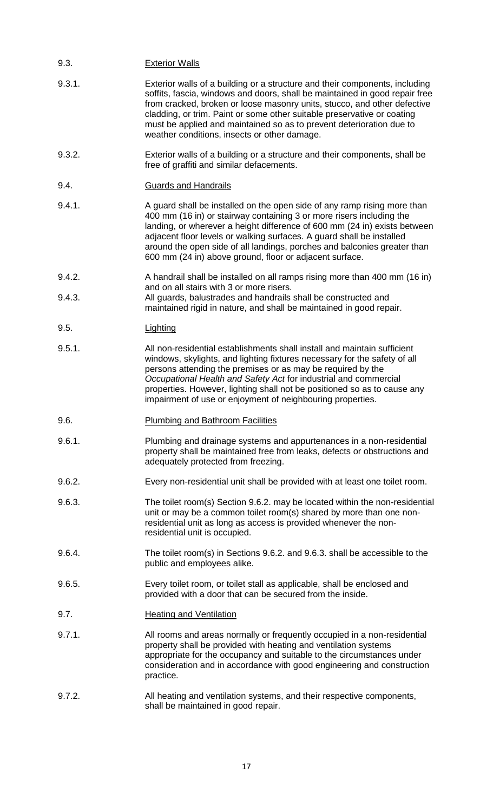## 9.3. Exterior Walls

- 9.3.1. Exterior walls of a building or a structure and their components, including soffits, fascia, windows and doors, shall be maintained in good repair free from cracked, broken or loose masonry units, stucco, and other defective cladding, or trim. Paint or some other suitable preservative or coating must be applied and maintained so as to prevent deterioration due to weather conditions, insects or other damage.
- 9.3.2. Exterior walls of a building or a structure and their components, shall be free of graffiti and similar defacements.
- 9.4. Guards and Handrails
- 9.4.1. A guard shall be installed on the open side of any ramp rising more than 400 mm (16 in) or stairway containing 3 or more risers including the landing, or wherever a height difference of 600 mm (24 in) exists between adjacent floor levels or walking surfaces. A guard shall be installed around the open side of all landings, porches and balconies greater than 600 mm (24 in) above ground, floor or adjacent surface.
- 9.4.2. A handrail shall be installed on all ramps rising more than 400 mm (16 in) and on all stairs with 3 or more risers.
- 9.4.3. All guards, balustrades and handrails shall be constructed and maintained rigid in nature, and shall be maintained in good repair.
- 9.5. Lighting
- 9.5.1. All non-residential establishments shall install and maintain sufficient windows, skylights, and lighting fixtures necessary for the safety of all persons attending the premises or as may be required by the *Occupational Health and Safety Act* for industrial and commercial properties. However, lighting shall not be positioned so as to cause any impairment of use or enjoyment of neighbouring properties.
- 9.6. Plumbing and Bathroom Facilities
- 9.6.1. Plumbing and drainage systems and appurtenances in a non-residential property shall be maintained free from leaks, defects or obstructions and adequately protected from freezing.
- 9.6.2. Every non-residential unit shall be provided with at least one toilet room.
- 9.6.3. The toilet room(s) Section 9.6.2. may be located within the non-residential unit or may be a common toilet room(s) shared by more than one nonresidential unit as long as access is provided whenever the nonresidential unit is occupied.
- 9.6.4. The toilet room(s) in Sections 9.6.2. and 9.6.3. shall be accessible to the public and employees alike.
- 9.6.5. Every toilet room, or toilet stall as applicable, shall be enclosed and provided with a door that can be secured from the inside.
- 9.7. Heating and Ventilation
- 9.7.1. All rooms and areas normally or frequently occupied in a non-residential property shall be provided with heating and ventilation systems appropriate for the occupancy and suitable to the circumstances under consideration and in accordance with good engineering and construction practice.
- 9.7.2. All heating and ventilation systems, and their respective components, shall be maintained in good repair.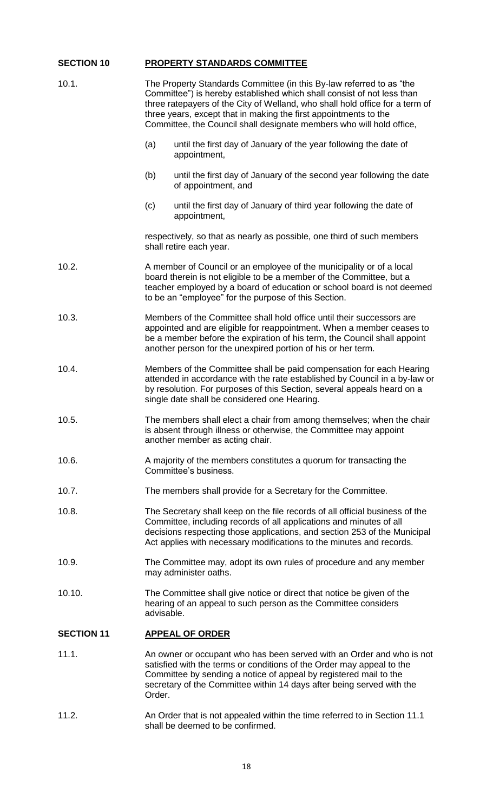# **SECTION 10 PROPERTY STANDARDS COMMITTEE**

| 10.1.             | The Property Standards Committee (in this By-law referred to as "the<br>Committee") is hereby established which shall consist of not less than<br>three ratepayers of the City of Welland, who shall hold office for a term of<br>three years, except that in making the first appointments to the<br>Committee, the Council shall designate members who will hold office, |  |  |  |
|-------------------|----------------------------------------------------------------------------------------------------------------------------------------------------------------------------------------------------------------------------------------------------------------------------------------------------------------------------------------------------------------------------|--|--|--|
|                   | (a)<br>until the first day of January of the year following the date of<br>appointment,                                                                                                                                                                                                                                                                                    |  |  |  |
|                   | until the first day of January of the second year following the date<br>(b)<br>of appointment, and                                                                                                                                                                                                                                                                         |  |  |  |
|                   | (c)<br>until the first day of January of third year following the date of<br>appointment,                                                                                                                                                                                                                                                                                  |  |  |  |
|                   | respectively, so that as nearly as possible, one third of such members<br>shall retire each year.                                                                                                                                                                                                                                                                          |  |  |  |
| 10.2.             | A member of Council or an employee of the municipality or of a local<br>board therein is not eligible to be a member of the Committee, but a<br>teacher employed by a board of education or school board is not deemed<br>to be an "employee" for the purpose of this Section.                                                                                             |  |  |  |
| 10.3.             | Members of the Committee shall hold office until their successors are<br>appointed and are eligible for reappointment. When a member ceases to<br>be a member before the expiration of his term, the Council shall appoint<br>another person for the unexpired portion of his or her term.                                                                                 |  |  |  |
| 10.4.             | Members of the Committee shall be paid compensation for each Hearing<br>attended in accordance with the rate established by Council in a by-law or<br>by resolution. For purposes of this Section, several appeals heard on a<br>single date shall be considered one Hearing.                                                                                              |  |  |  |
| 10.5.             | The members shall elect a chair from among themselves; when the chair<br>is absent through illness or otherwise, the Committee may appoint<br>another member as acting chair.                                                                                                                                                                                              |  |  |  |
| 10.6.             | A majority of the members constitutes a quorum for transacting the<br>Committee's business.                                                                                                                                                                                                                                                                                |  |  |  |
| 10.7.             | The members shall provide for a Secretary for the Committee.                                                                                                                                                                                                                                                                                                               |  |  |  |
| 10.8.             | The Secretary shall keep on the file records of all official business of the<br>Committee, including records of all applications and minutes of all<br>decisions respecting those applications, and section 253 of the Municipal<br>Act applies with necessary modifications to the minutes and records.                                                                   |  |  |  |
| 10.9.             | The Committee may, adopt its own rules of procedure and any member<br>may administer oaths.                                                                                                                                                                                                                                                                                |  |  |  |
| 10.10.            | The Committee shall give notice or direct that notice be given of the<br>hearing of an appeal to such person as the Committee considers<br>advisable.                                                                                                                                                                                                                      |  |  |  |
| <b>SECTION 11</b> | <b>APPEAL OF ORDER</b>                                                                                                                                                                                                                                                                                                                                                     |  |  |  |
| 11.1.             | An owner or occupant who has been served with an Order and who is not<br>satisfied with the terms or conditions of the Order may appeal to the<br>Committee by sending a notice of appeal by registered mail to the<br>secretary of the Committee within 14 days after being served with the<br>Order.                                                                     |  |  |  |
| 11.2.             | An Order that is not appealed within the time referred to in Section 11.1<br>shall be deemed to be confirmed.                                                                                                                                                                                                                                                              |  |  |  |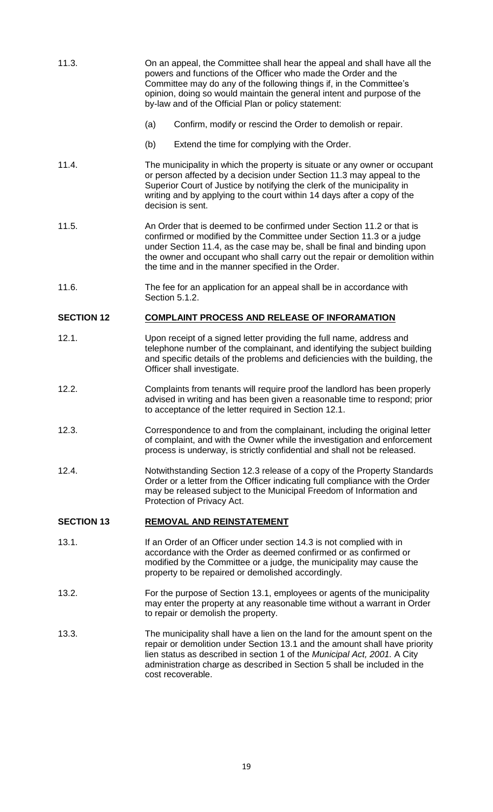| 11.3.             | On an appeal, the Committee shall hear the appeal and shall have all the<br>powers and functions of the Officer who made the Order and the<br>Committee may do any of the following things if, in the Committee's<br>opinion, doing so would maintain the general intent and purpose of the<br>by-law and of the Official Plan or policy statement:          |                                                                                                                                                                                                                                                                 |  |  |  |
|-------------------|--------------------------------------------------------------------------------------------------------------------------------------------------------------------------------------------------------------------------------------------------------------------------------------------------------------------------------------------------------------|-----------------------------------------------------------------------------------------------------------------------------------------------------------------------------------------------------------------------------------------------------------------|--|--|--|
|                   | Confirm, modify or rescind the Order to demolish or repair.<br>(a)                                                                                                                                                                                                                                                                                           |                                                                                                                                                                                                                                                                 |  |  |  |
|                   | (b)                                                                                                                                                                                                                                                                                                                                                          | Extend the time for complying with the Order.                                                                                                                                                                                                                   |  |  |  |
| 11.4.             | The municipality in which the property is situate or any owner or occupant<br>or person affected by a decision under Section 11.3 may appeal to the<br>Superior Court of Justice by notifying the clerk of the municipality in<br>writing and by applying to the court within 14 days after a copy of the<br>decision is sent.                               |                                                                                                                                                                                                                                                                 |  |  |  |
| 11.5.             | An Order that is deemed to be confirmed under Section 11.2 or that is<br>confirmed or modified by the Committee under Section 11.3 or a judge<br>under Section 11.4, as the case may be, shall be final and binding upon<br>the owner and occupant who shall carry out the repair or demolition within<br>the time and in the manner specified in the Order. |                                                                                                                                                                                                                                                                 |  |  |  |
| 11.6.             |                                                                                                                                                                                                                                                                                                                                                              | The fee for an application for an appeal shall be in accordance with<br>Section 5.1.2.                                                                                                                                                                          |  |  |  |
| <b>SECTION 12</b> |                                                                                                                                                                                                                                                                                                                                                              | <b>COMPLAINT PROCESS AND RELEASE OF INFORAMATION</b>                                                                                                                                                                                                            |  |  |  |
| 12.1.             |                                                                                                                                                                                                                                                                                                                                                              | Upon receipt of a signed letter providing the full name, address and<br>telephone number of the complainant, and identifying the subject building<br>and specific details of the problems and deficiencies with the building, the<br>Officer shall investigate. |  |  |  |
| 12.2.             | Complaints from tenants will require proof the landlord has been properly<br>advised in writing and has been given a reasonable time to respond; prior<br>to acceptance of the letter required in Section 12.1.                                                                                                                                              |                                                                                                                                                                                                                                                                 |  |  |  |
| 12.3.             | Correspondence to and from the complainant, including the original letter<br>of complaint, and with the Owner while the investigation and enforcement<br>process is underway, is strictly confidential and shall not be released.                                                                                                                            |                                                                                                                                                                                                                                                                 |  |  |  |
| 12.4.             | Notwithstanding Section 12.3 release of a copy of the Property Standards<br>Order or a letter from the Officer indicating full compliance with the Order<br>may be released subject to the Municipal Freedom of Information and<br>Protection of Privacy Act.                                                                                                |                                                                                                                                                                                                                                                                 |  |  |  |

## **SECTION 13 REMOVAL AND REINSTATEMENT**

- 13.1. If an Order of an Officer under section 14.3 is not complied with in accordance with the Order as deemed confirmed or as confirmed or modified by the Committee or a judge, the municipality may cause the property to be repaired or demolished accordingly.
- 13.2. For the purpose of Section 13.1, employees or agents of the municipality may enter the property at any reasonable time without a warrant in Order to repair or demolish the property.
- 13.3. The municipality shall have a lien on the land for the amount spent on the repair or demolition under Section 13.1 and the amount shall have priority lien status as described in section 1 of the *Municipal Act, 2001.* A City administration charge as described in Section 5 shall be included in the cost recoverable.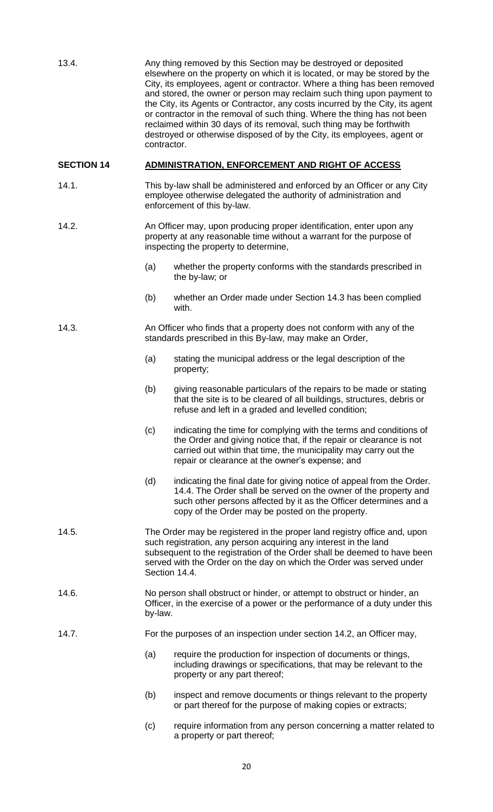| 13.4.             | Any thing removed by this Section may be destroyed or deposited<br>elsewhere on the property on which it is located, or may be stored by the<br>City, its employees, agent or contractor. Where a thing has been removed<br>and stored, the owner or person may reclaim such thing upon payment to<br>the City, its Agents or Contractor, any costs incurred by the City, its agent<br>or contractor in the removal of such thing. Where the thing has not been<br>reclaimed within 30 days of its removal, such thing may be forthwith<br>destroyed or otherwise disposed of by the City, its employees, agent or<br>contractor. |                                                                                                                                                                                                                                                                    |  |  |  |
|-------------------|-----------------------------------------------------------------------------------------------------------------------------------------------------------------------------------------------------------------------------------------------------------------------------------------------------------------------------------------------------------------------------------------------------------------------------------------------------------------------------------------------------------------------------------------------------------------------------------------------------------------------------------|--------------------------------------------------------------------------------------------------------------------------------------------------------------------------------------------------------------------------------------------------------------------|--|--|--|
| <b>SECTION 14</b> |                                                                                                                                                                                                                                                                                                                                                                                                                                                                                                                                                                                                                                   | ADMINISTRATION, ENFORCEMENT AND RIGHT OF ACCESS                                                                                                                                                                                                                    |  |  |  |
| 14.1.             |                                                                                                                                                                                                                                                                                                                                                                                                                                                                                                                                                                                                                                   | This by-law shall be administered and enforced by an Officer or any City<br>employee otherwise delegated the authority of administration and<br>enforcement of this by-law.                                                                                        |  |  |  |
| 14.2.             | An Officer may, upon producing proper identification, enter upon any<br>property at any reasonable time without a warrant for the purpose of<br>inspecting the property to determine,                                                                                                                                                                                                                                                                                                                                                                                                                                             |                                                                                                                                                                                                                                                                    |  |  |  |
|                   | (a)                                                                                                                                                                                                                                                                                                                                                                                                                                                                                                                                                                                                                               | whether the property conforms with the standards prescribed in<br>the by-law; or                                                                                                                                                                                   |  |  |  |
|                   | (b)                                                                                                                                                                                                                                                                                                                                                                                                                                                                                                                                                                                                                               | whether an Order made under Section 14.3 has been complied<br>with.                                                                                                                                                                                                |  |  |  |
| 14.3.             | An Officer who finds that a property does not conform with any of the<br>standards prescribed in this By-law, may make an Order,                                                                                                                                                                                                                                                                                                                                                                                                                                                                                                  |                                                                                                                                                                                                                                                                    |  |  |  |
|                   | (a)                                                                                                                                                                                                                                                                                                                                                                                                                                                                                                                                                                                                                               | stating the municipal address or the legal description of the<br>property;                                                                                                                                                                                         |  |  |  |
|                   | (b)                                                                                                                                                                                                                                                                                                                                                                                                                                                                                                                                                                                                                               | giving reasonable particulars of the repairs to be made or stating<br>that the site is to be cleared of all buildings, structures, debris or<br>refuse and left in a graded and levelled condition;                                                                |  |  |  |
|                   | (c)                                                                                                                                                                                                                                                                                                                                                                                                                                                                                                                                                                                                                               | indicating the time for complying with the terms and conditions of<br>the Order and giving notice that, if the repair or clearance is not<br>carried out within that time, the municipality may carry out the<br>repair or clearance at the owner's expense; and   |  |  |  |
|                   | (d)                                                                                                                                                                                                                                                                                                                                                                                                                                                                                                                                                                                                                               | indicating the final date for giving notice of appeal from the Order.<br>14.4. The Order shall be served on the owner of the property and<br>such other persons affected by it as the Officer determines and a<br>copy of the Order may be posted on the property. |  |  |  |
| 14.5.             | The Order may be registered in the proper land registry office and, upon<br>such registration, any person acquiring any interest in the land<br>subsequent to the registration of the Order shall be deemed to have been<br>served with the Order on the day on which the Order was served under<br>Section 14.4.                                                                                                                                                                                                                                                                                                                 |                                                                                                                                                                                                                                                                    |  |  |  |
| 14.6.             | No person shall obstruct or hinder, or attempt to obstruct or hinder, an<br>Officer, in the exercise of a power or the performance of a duty under this<br>by-law.                                                                                                                                                                                                                                                                                                                                                                                                                                                                |                                                                                                                                                                                                                                                                    |  |  |  |
| 14.7.             | For the purposes of an inspection under section 14.2, an Officer may,                                                                                                                                                                                                                                                                                                                                                                                                                                                                                                                                                             |                                                                                                                                                                                                                                                                    |  |  |  |
|                   | (a)                                                                                                                                                                                                                                                                                                                                                                                                                                                                                                                                                                                                                               | require the production for inspection of documents or things,<br>including drawings or specifications, that may be relevant to the<br>property or any part thereof;                                                                                                |  |  |  |
|                   | (b)                                                                                                                                                                                                                                                                                                                                                                                                                                                                                                                                                                                                                               | inspect and remove documents or things relevant to the property<br>or part thereof for the purpose of making copies or extracts;                                                                                                                                   |  |  |  |
|                   | (c)                                                                                                                                                                                                                                                                                                                                                                                                                                                                                                                                                                                                                               | require information from any person concerning a matter related to                                                                                                                                                                                                 |  |  |  |

a property or part thereof;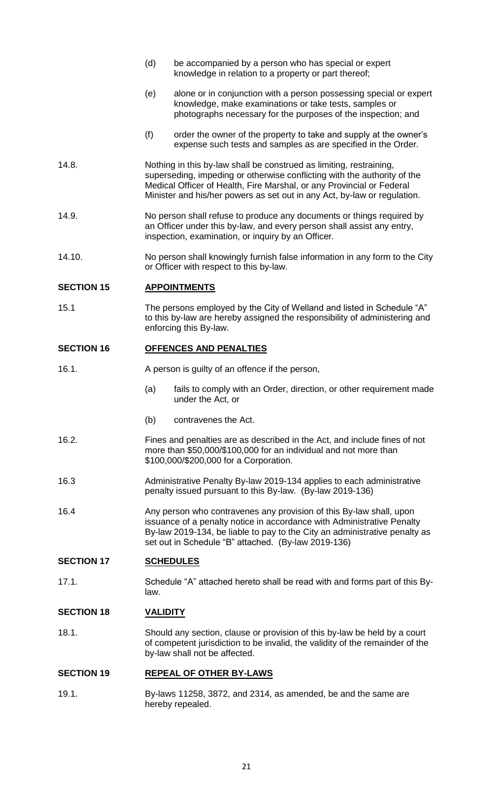- (d) be accompanied by a person who has special or expert knowledge in relation to a property or part thereof; (e) alone or in conjunction with a person possessing special or expert knowledge, make examinations or take tests, samples or photographs necessary for the purposes of the inspection; and (f) order the owner of the property to take and supply at the owner's expense such tests and samples as are specified in the Order. 14.8. Nothing in this by-law shall be construed as limiting, restraining,
- superseding, impeding or otherwise conflicting with the authority of the Medical Officer of Health, Fire Marshal, or any Provincial or Federal Minister and his/her powers as set out in any Act, by-law or regulation.
- 14.9. No person shall refuse to produce any documents or things required by an Officer under this by-law, and every person shall assist any entry, inspection, examination, or inquiry by an Officer.
- 14.10. No person shall knowingly furnish false information in any form to the City or Officer with respect to this by-law.

## **SECTION 15 APPOINTMENTS**

15.1 The persons employed by the City of Welland and listed in Schedule "A" to this by-law are hereby assigned the responsibility of administering and enforcing this By-law.

#### **SECTION 16 OFFENCES AND PENALTIES**

- 16.1. A person is guilty of an offence if the person,
	- (a) fails to comply with an Order, direction, or other requirement made under the Act, or
	- (b) contravenes the Act.
- 16.2. Fines and penalties are as described in the Act, and include fines of not more than \$50,000/\$100,000 for an individual and not more than \$100,000/\$200,000 for a Corporation.
- 16.3 Administrative Penalty By-law 2019-134 applies to each administrative penalty issued pursuant to this By-law. (By-law 2019-136)
- 16.4 Any person who contravenes any provision of this By-law shall, upon issuance of a penalty notice in accordance with Administrative Penalty By-law 2019-134, be liable to pay to the City an administrative penalty as set out in Schedule "B" attached. (By-law 2019-136)

## **SECTION 17 SCHEDULES**

17.1. Schedule "A" attached hereto shall be read with and forms part of this Bylaw.

## **SECTION 18 VALIDITY**

18.1. Should any section, clause or provision of this by-law be held by a court of competent jurisdiction to be invalid, the validity of the remainder of the by-law shall not be affected.

## **SECTION 19 REPEAL OF OTHER BY-LAWS**

19.1. By-laws 11258, 3872, and 2314, as amended, be and the same are hereby repealed.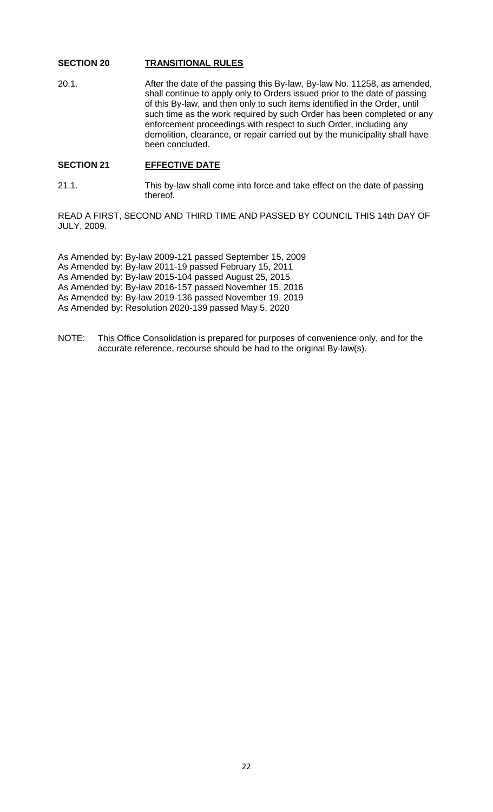## **SECTION 20 TRANSITIONAL RULES**

20.1. After the date of the passing this By-law, By-law No. 11258, as amended, shall continue to apply only to Orders issued prior to the date of passing of this By-law, and then only to such items identified in the Order, until such time as the work required by such Order has been completed or any enforcement proceedings with respect to such Order, including any demolition, clearance, or repair carried out by the municipality shall have been concluded.

## SECTION 21 **EFFECTIVE DATE**

21.1. This by-law shall come into force and take effect on the date of passing thereof.

READ A FIRST, SECOND AND THIRD TIME AND PASSED BY COUNCIL THIS 14th DAY OF JULY, 2009.

As Amended by: By-law 2009-121 passed September 15, 2009 As Amended by: By-law 2011-19 passed February 15, 2011 As Amended by: By-law 2015-104 passed August 25, 2015 As Amended by: By-law 2016-157 passed November 15, 2016 As Amended by: By-law 2019-136 passed November 19, 2019 As Amended by: Resolution 2020-139 passed May 5, 2020

NOTE: This Office Consolidation is prepared for purposes of convenience only, and for the accurate reference, recourse should be had to the original By-law(s).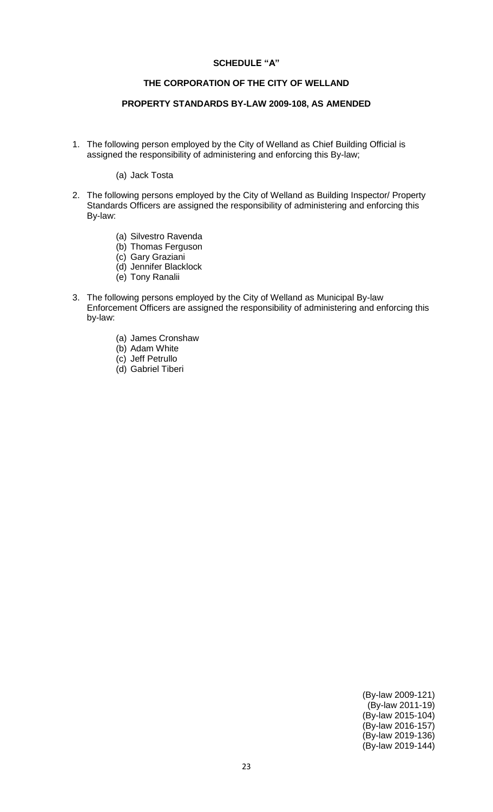#### **SCHEDULE "A"**

## **THE CORPORATION OF THE CITY OF WELLAND**

## **PROPERTY STANDARDS BY-LAW 2009-108, AS AMENDED**

1. The following person employed by the City of Welland as Chief Building Official is assigned the responsibility of administering and enforcing this By-law;

(a) Jack Tosta

- 2. The following persons employed by the City of Welland as Building Inspector/ Property Standards Officers are assigned the responsibility of administering and enforcing this By-law:
	- (a) Silvestro Ravenda
	- (b) Thomas Ferguson
	- (c) Gary Graziani
	- (d) Jennifer Blacklock
	- (e) Tony Ranalii
- 3. The following persons employed by the City of Welland as Municipal By-law Enforcement Officers are assigned the responsibility of administering and enforcing this by-law:
	- (a) James Cronshaw
	- (b) Adam White
	- (c) Jeff Petrullo
	- (d) Gabriel Tiberi

(By-law 2009-121) (By-law 2011-19) (By-law 2015-104) (By-law 2016-157) (By-law 2019-136) (By-law 2019-144)